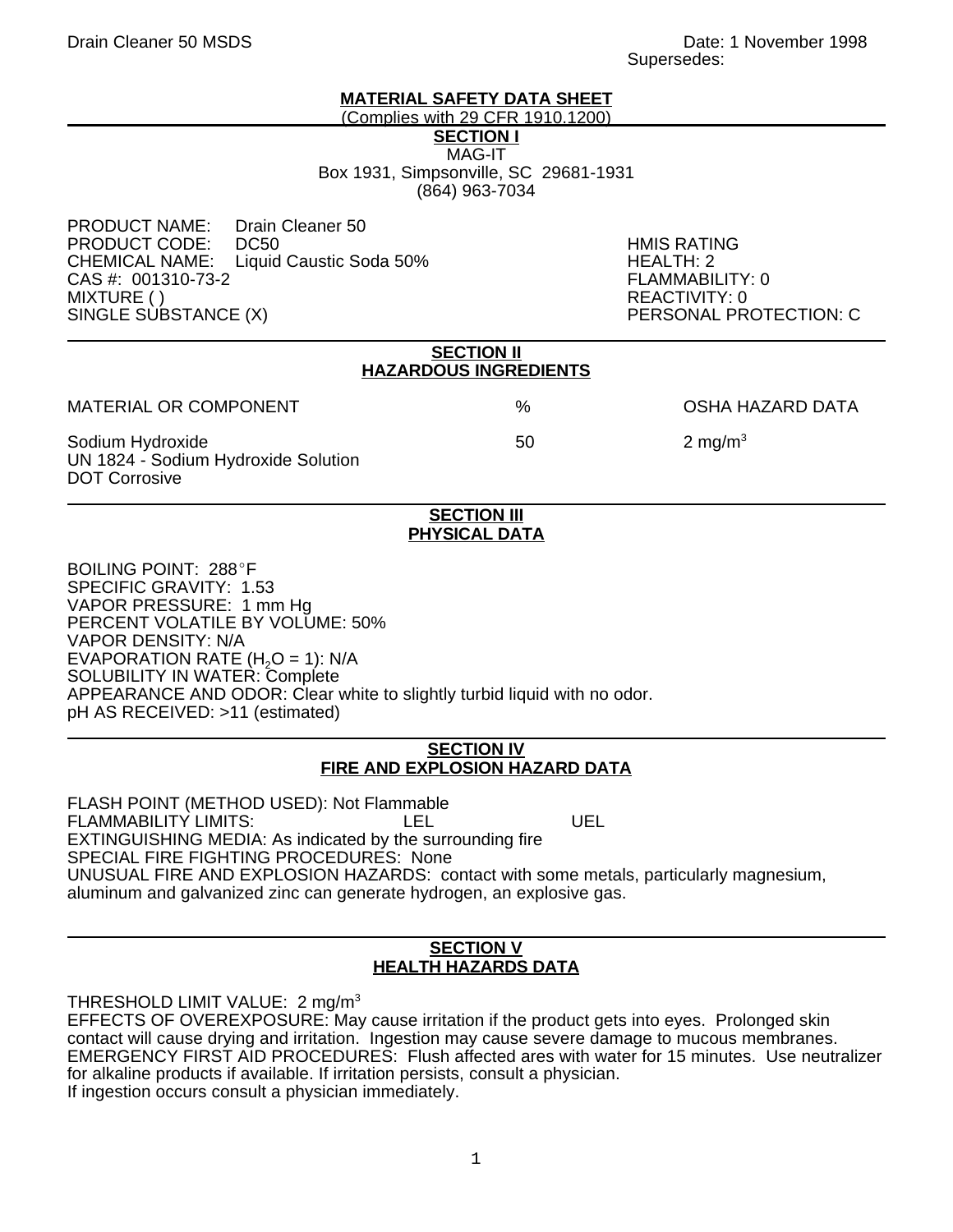## **MATERIAL SAFETY DATA SHEET**

(Complies with 29 CFR 1910.1200)

**SECTION I**

MAG-IT Box 1931, Simpsonville, SC 29681-1931 (864) 963-7034

PRODUCT NAME: Drain Cleaner 50 PRODUCT CODE: DC50 HMIS RATING Liquid Caustic Soda 50% HEALTH: 2<br>FLAMMABILITY: 0 CAS #: 001310-73-2 MIXTURE ( ) REACTIVITY: 0<br>SINGLE SUBSTANCE (X) PERSONAL PR

PERSONAL PROTECTION: C

| <b>SECTION II</b><br><b>HAZARDOUS INGREDIENTS</b>                               |      |                         |
|---------------------------------------------------------------------------------|------|-------------------------|
| <b>MATERIAL OR COMPONENT</b>                                                    | $\%$ | <b>OSHA HAZARD DATA</b> |
| Sodium Hydroxide<br>UN 1824 - Sodium Hydroxide Solution<br><b>DOT Corrosive</b> | 50   | 2 mg/m <sup>3</sup>     |

### **SECTION III PHYSICAL DATA**

BOILING POINT: 288°F SPECIFIC GRAVITY: 1.53 VAPOR PRESSURE: 1 mm Hg PERCENT VOLATILE BY VOLUME: 50% VAPOR DENSITY: N/A EVAPORATION RATE  $(H<sub>2</sub>O = 1)$ : N/A SOLUBILITY IN WATER: Complete APPEARANCE AND ODOR: Clear white to slightly turbid liquid with no odor. pH AS RECEIVED: >11 (estimated)

### **SECTION IV FIRE AND EXPLOSION HAZARD DATA**

FLASH POINT (METHOD USED): Not Flammable FLAMMABILITY LIMITS:  $\overline{L}$  LEL UEL EXTINGUISHING MEDIA: As indicated by the surrounding fire SPECIAL FIRE FIGHTING PROCEDURES: None UNUSUAL FIRE AND EXPLOSION HAZARDS: contact with some metals, particularly magnesium, aluminum and galvanized zinc can generate hydrogen, an explosive gas.

# **SECTION V HEALTH HAZARDS DATA**

THRESHOLD LIMIT VALUE:  $2 \text{ mg/m}^3$ 

EFFECTS OF OVEREXPOSURE: May cause irritation if the product gets into eyes. Prolonged skin contact will cause drying and irritation. Ingestion may cause severe damage to mucous membranes. EMERGENCY FIRST AID PROCEDURES: Flush affected ares with water for 15 minutes. Use neutralizer for alkaline products if available. If irritation persists, consult a physician. If ingestion occurs consult a physician immediately.